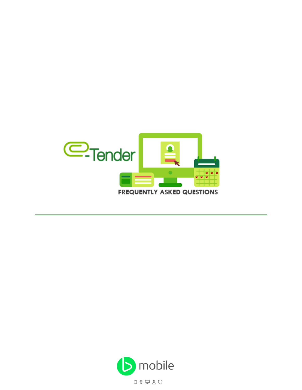

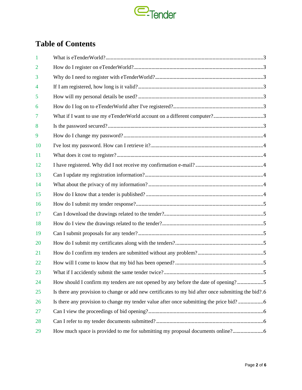

# **Table of Contents**

| -1             |                                                                                                     |
|----------------|-----------------------------------------------------------------------------------------------------|
| $\overline{2}$ |                                                                                                     |
| 3              |                                                                                                     |
| 4              |                                                                                                     |
| 5              |                                                                                                     |
| 6              |                                                                                                     |
| 7              |                                                                                                     |
| 8              |                                                                                                     |
| 9              |                                                                                                     |
| 10             |                                                                                                     |
| 11             |                                                                                                     |
| 12             |                                                                                                     |
| 13             |                                                                                                     |
| 14             |                                                                                                     |
| 15             |                                                                                                     |
| 16             |                                                                                                     |
| 17             |                                                                                                     |
| 18             |                                                                                                     |
| 19             |                                                                                                     |
| 20             |                                                                                                     |
| 21             |                                                                                                     |
| 22             |                                                                                                     |
| 23             | 5                                                                                                   |
| 24             | How should I confirm my tenders are not opened by any before the date of opening?5                  |
| 25             | Is there any provision to change or add new certificates to my bid after once submitting the bid?.6 |
| 26             |                                                                                                     |
| 27             |                                                                                                     |
| 28             |                                                                                                     |
| 29             | How much space is provided to me for submitting my proposal documents online?                       |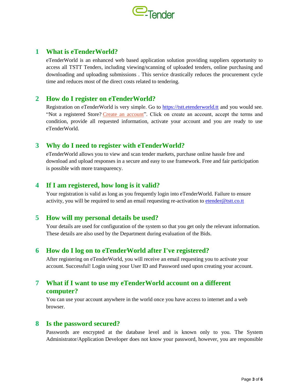

### **1 What is eTenderWorld?**

eTenderWorld is an enhanced web based application solution providing suppliers opportunity to access all TSTT Tenders, including viewing/scanning of uploaded tenders, online purchasing and downloading and uploading submissions . This service drastically reduces the procurement cycle time and reduces most of the direct costs related to tendering.

### **2 How do I register on eTenderWorld?**

Registration on eTenderWorld is very simple. Go to [https://tstt.etenderworld.tt](https://tstt.etenderworld.tt/) and you would see. "Not a registered Store? [Create an account"](https://etender-web-ibeta.corp.tstt.local/register.php). Click on create an account, accept the terms and condition, provide all requested information, activate your account and you are ready to use eTenderWorld.

### **3 Why do I need to register with eTenderWorld?**

eTenderWorld allows you to view and scan tender markets, purchase online hassle free and download and upload responses in a secure and easy to use framework. Free and fair participation is possible with more transparency.

### **4 If I am registered, how long is it valid?**

Your registration is valid as long as you frequently login into eTenderWorld. Failure to ensure activity, you will be required to send an email requesting re-activation to [etender@tstt.co.tt](mailto:etender@tstt.co.tt) 

### **5 How will my personal details be used?**

Your details are used for configuration of the system so that you get only the relevant information. These details are also used by the Department during evaluation of the Bids.

### **6 How do I log on to eTenderWorld after I've registered?**

After registering on eTenderWorld, you will receive an email requesting you to activate your account. Successful! Login using your User ID and Password used upon creating your account.

### **7 What if I want to use my eTenderWorld account on a different computer?**

You can use your account anywhere in the world once you have access to internet and a web browser.

#### **8 Is the password secured?**

Passwords are encrypted at the database level and is known only to you. The System Administrator/Application Developer does not know your password, however, you are responsible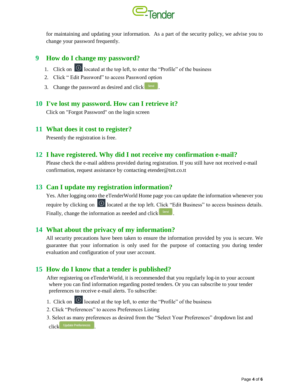

for maintaining and updating your information. As a part of the security policy, we advise you to change your password frequently.

### **9 How do I change my password?**

- 1. Click on  $\Theta$  located at the top left, to enter the "Profile" of the business
- 2. Click " Edit Password" to access Password option
- 3. Change the password as desired and click  $\left[ \begin{array}{c} \mathsf{Send} \end{array} \right]$ .

### **10 I've lost my password. How can I retrieve it?**

Click on "Forgot Password" on the login screen

#### **11 What does it cost to register?**

Presently the registration is free.

### **12 I have registered. Why did I not receive my confirmation e-mail?**

Please check the e-mail address provided during registration. If you still have not received e-mail confirmation, request assistance by contacting etender@tstt.co.tt

### **13 Can I update my registration information?**

Yes. After logging onto the eTenderWorld Home page you can update the information whenever you require by clicking on  $\Theta$  located at the top left. Click "Edit Business" to access business details. Finally, change the information as needed and click  $\frac{\text{Send}}{\text{Send}}$ .

# **14 What about the privacy of my information?**

All security precautions have been taken to ensure the information provided by you is secure. We guarantee that your information is only used for the purpose of contacting you during tender evaluation and configuration of your user account.

# **15 How do I know that a tender is published?**

After registering on eTenderWorld, it is recommended that you regularly log-in to your account where you can find information regarding posted tenders. Or you can subscribe to your tender preferences to receive e-mail alerts. To subscribe:

- 1. Click on  $\Theta$  located at the top left, to enter the "Profile" of the business
- 2. Click "Preferences" to access Preferences Listing
- 3. Select as many preferences as desired from the "Select Your Preferences" dropdown list and click Update Preferences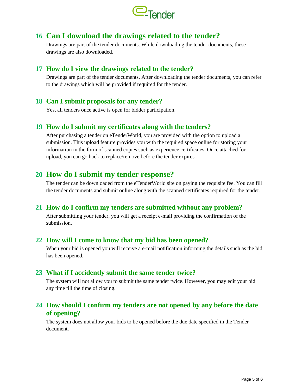

# **16 Can I download the drawings related to the tender?**

Drawings are part of the tender documents. While downloading the tender documents, these drawings are also downloaded.

### **17 How do I view the drawings related to the tender?**

Drawings are part of the tender documents. After downloading the tender documents, you can refer to the drawings which will be provided if required for the tender.

### **18 Can I submit proposals for any tender?**

Yes, all tenders once active is open for bidder participation.

### **19 How do I submit my certificates along with the tenders?**

After purchasing a tender on eTenderWorld, you are provided with the option to upload a submission. This upload feature provides you with the required space online for storing your information in the form of scanned copies such as experience certificates. Once attached for upload, you can go back to replace/remove before the tender expires.

# **20 How do I submit my tender response?**

The tender can be downloaded from the eTenderWorld site on paying the requisite fee. You can fill the tender documents and submit online along with the scanned certificates required for the tender.

### **21 How do I confirm my tenders are submitted without any problem?**

After submitting your tender, you will get a receipt e-mail providing the confirmation of the submission.

### **22 How will I come to know that my bid has been opened?**

When your bid is opened you will receive a e-mail notification informing the details such as the bid has been opened.

### **23 What if I accidently submit the same tender twice?**

The system will not allow you to submit the same tender twice. However, you may edit your bid any time till the time of closing.

### **24 How should I confirm my tenders are not opened by any before the date of opening?**

The system does not allow your bids to be opened before the due date specified in the Tender document.